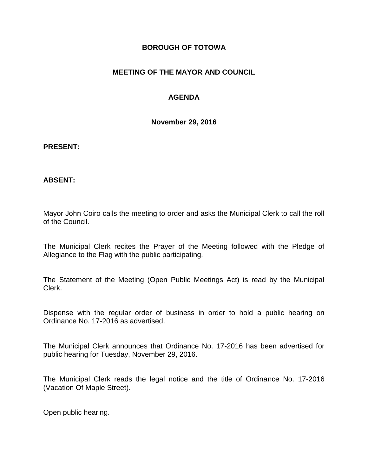#### **BOROUGH OF TOTOWA**

# **MEETING OF THE MAYOR AND COUNCIL**

# **AGENDA**

**November 29, 2016**

#### **PRESENT:**

#### **ABSENT:**

Mayor John Coiro calls the meeting to order and asks the Municipal Clerk to call the roll of the Council.

The Municipal Clerk recites the Prayer of the Meeting followed with the Pledge of Allegiance to the Flag with the public participating.

The Statement of the Meeting (Open Public Meetings Act) is read by the Municipal Clerk.

Dispense with the regular order of business in order to hold a public hearing on Ordinance No. 17-2016 as advertised.

The Municipal Clerk announces that Ordinance No. 17-2016 has been advertised for public hearing for Tuesday, November 29, 2016.

The Municipal Clerk reads the legal notice and the title of Ordinance No. 17-2016 (Vacation Of Maple Street).

Open public hearing.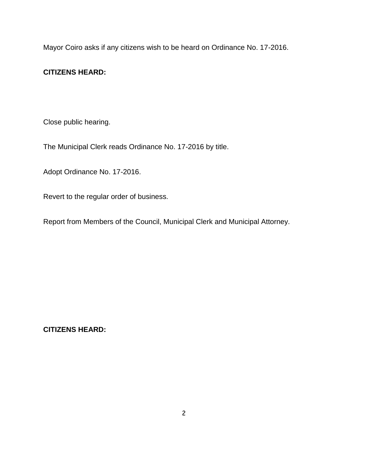Mayor Coiro asks if any citizens wish to be heard on Ordinance No. 17-2016.

# **CITIZENS HEARD:**

Close public hearing.

The Municipal Clerk reads Ordinance No. 17-2016 by title.

Adopt Ordinance No. 17-2016.

Revert to the regular order of business.

Report from Members of the Council, Municipal Clerk and Municipal Attorney.

**CITIZENS HEARD:**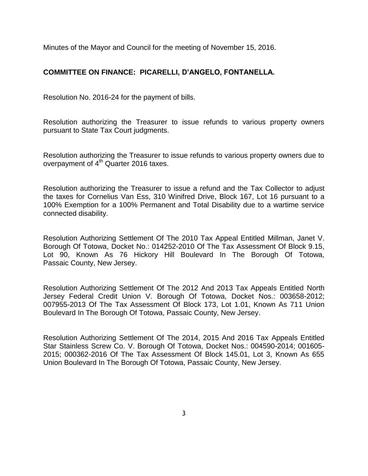Minutes of the Mayor and Council for the meeting of November 15, 2016.

# **COMMITTEE ON FINANCE: PICARELLI, D'ANGELO, FONTANELLA.**

Resolution No. 2016-24 for the payment of bills.

Resolution authorizing the Treasurer to issue refunds to various property owners pursuant to State Tax Court judgments.

Resolution authorizing the Treasurer to issue refunds to various property owners due to overpayment of  $4<sup>th</sup>$  Quarter 2016 taxes.

Resolution authorizing the Treasurer to issue a refund and the Tax Collector to adjust the taxes for Cornelius Van Ess, 310 Winifred Drive, Block 167, Lot 16 pursuant to a 100% Exemption for a 100% Permanent and Total Disability due to a wartime service connected disability.

Resolution Authorizing Settlement Of The 2010 Tax Appeal Entitled Millman, Janet V. Borough Of Totowa, Docket No.: 014252-2010 Of The Tax Assessment Of Block 9.15, Lot 90, Known As 76 Hickory Hill Boulevard In The Borough Of Totowa, Passaic County, New Jersey.

Resolution Authorizing Settlement Of The 2012 And 2013 Tax Appeals Entitled North Jersey Federal Credit Union V. Borough Of Totowa, Docket Nos.: 003658-2012; 007955-2013 Of The Tax Assessment Of Block 173, Lot 1.01, Known As 711 Union Boulevard In The Borough Of Totowa, Passaic County, New Jersey.

Resolution Authorizing Settlement Of The 2014, 2015 And 2016 Tax Appeals Entitled Star Stainless Screw Co. V. Borough Of Totowa, Docket Nos.: 004590-2014; 001605- 2015; 000362-2016 Of The Tax Assessment Of Block 145.01, Lot 3, Known As 655 Union Boulevard In The Borough Of Totowa, Passaic County, New Jersey.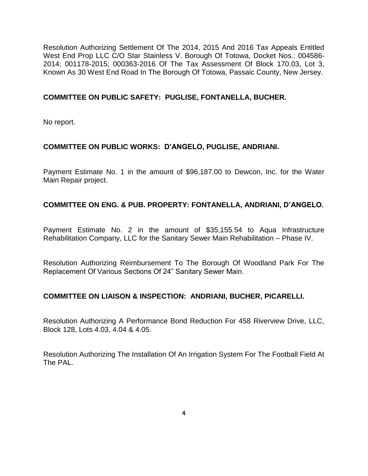Resolution Authorizing Settlement Of The 2014, 2015 And 2016 Tax Appeals Entitled West End Prop LLC C/O Star Stainless V. Borough Of Totowa, Docket Nos.: 004586- 2014; 001178-2015; 000363-2016 Of The Tax Assessment Of Block 170.03, Lot 3, Known As 30 West End Road In The Borough Of Totowa, Passaic County, New Jersey.

# **COMMITTEE ON PUBLIC SAFETY: PUGLISE, FONTANELLA, BUCHER.**

No report.

# **COMMITTEE ON PUBLIC WORKS: D'ANGELO, PUGLISE, ANDRIANI.**

Payment Estimate No. 1 in the amount of \$96,187.00 to Dewcon, Inc. for the Water Main Repair project.

# **COMMITTEE ON ENG. & PUB. PROPERTY: FONTANELLA, ANDRIANI, D'ANGELO.**

Payment Estimate No. 2 in the amount of \$35,155.54 to Aqua Infrastructure Rehabilitation Company, LLC for the Sanitary Sewer Main Rehabilitation – Phase IV.

Resolution Authorizing Reimbursement To The Borough Of Woodland Park For The Replacement Of Various Sections Of 24" Sanitary Sewer Main.

#### **COMMITTEE ON LIAISON & INSPECTION: ANDRIANI, BUCHER, PICARELLI.**

Resolution Authorizing A Performance Bond Reduction For 458 Riverview Drive, LLC, Block 128, Lots 4.03, 4.04 & 4.05.

Resolution Authorizing The Installation Of An Irrigation System For The Football Field At The PAL.